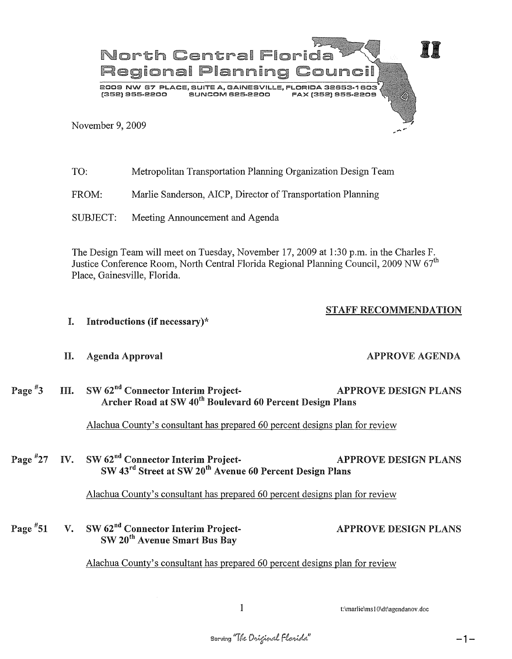

| TO:      | Metropolitan Transportation Planning Organization Design Team |
|----------|---------------------------------------------------------------|
| FROM:    | Marlie Sanderson, AICP, Director of Transportation Planning   |
| SUBJECT: | Meeting Announcement and Agenda                               |

The Design Team will meet on Tuesday, November 17,2009 at 1 :30 p.m. in the Charles F. Justice Conference Room, North Central Florida Regional Planning Council, 2009 NW  $67<sup>th</sup>$ Place, Gainesville, Florida.

## STAFF RECOMMENDATION

I. Introductions (if necessary)\*

## H. Agenda Approval APPROVE AGENDA

III. SW 62<sup>nd</sup> Connector Interim Project-<br>APPROVE DESIGN PLANS Page  $*3$ Archer Road at SW 40<sup>th</sup> Boulevard 60 Percent Design Plans

Alachua County's consultant has prepared 60 percent designs plan for review

Page #27 IV. SW 62<sup>nd</sup> Connector Interim Project-<br>APPROVE DESIGN PLANS SW 43rd Street at SW 20th Avenue 60 Percent Design Plans

Alachua County's consultant has prepared 60 percent designs plan for review

Page  $*51$ V. SW 62<sup>nd</sup> Connector Interim Project-SW 20th Avenue Smart Bus Bay APPROVE DESIGN PLANS

Alachua County's consultant has prepared 60 percent designs plan for review